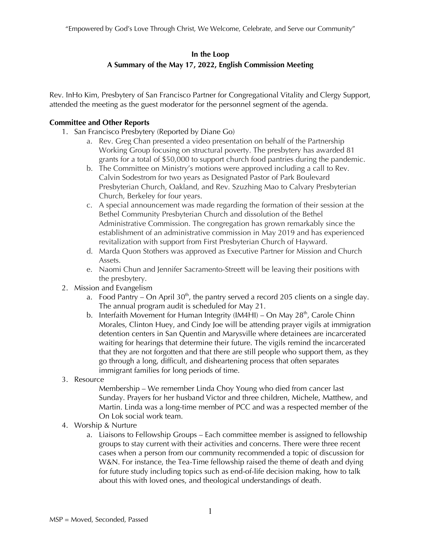## **In the Loop**

# **A Summary of the May 17, 2022, English Commission Meeting**

Rev. InHo Kim, Presbytery of San Francisco Partner for Congregational Vitality and Clergy Support, attended the meeting as the guest moderator for the personnel segment of the agenda.

## **Committee and Other Reports**

- 1. San Francisco Presbytery (Reported by Diane Go)
	- a. Rev. Greg Chan presented a video presentation on behalf of the Partnership Working Group focusing on structural poverty. The presbytery has awarded 81 grants for a total of \$50,000 to support church food pantries during the pandemic.
	- b. The Committee on Ministry's motions were approved including a call to Rev. Calvin Sodestrom for two years as Designated Pastor of Park Boulevard Presbyterian Church, Oakland, and Rev. Szuzhing Mao to Calvary Presbyterian Church, Berkeley for four years.
	- c. A special announcement was made regarding the formation of their session at the Bethel Community Presbyterian Church and dissolution of the Bethel Administrative Commission. The congregation has grown remarkably since the establishment of an administrative commission in May 2019 and has experienced revitalization with support from First Presbyterian Church of Hayward.
	- d. Marda Quon Stothers was approved as Executive Partner for Mission and Church Assets.
	- e. Naomi Chun and Jennifer Sacramento-Streett will be leaving their positions with the presbytery.
- 2. Mission and Evangelism
	- a. Food Pantry On April  $30<sup>th</sup>$ , the pantry served a record 205 clients on a single day. The annual program audit is scheduled for May 21.
	- b. Interfaith Movement for Human Integrity (IM4HI) On May  $28<sup>th</sup>$ , Carole Chinn Morales, Clinton Huey, and Cindy Joe will be attending prayer vigils at immigration detention centers in San Quentin and Marysville where detainees are incarcerated waiting for hearings that determine their future. The vigils remind the incarcerated that they are not forgotten and that there are still people who support them, as they go through a long, difficult, and disheartening process that often separates immigrant families for long periods of time.
- 3. Resource

Membership – We remember Linda Choy Young who died from cancer last Sunday. Prayers for her husband Victor and three children, Michele, Matthew, and Martin. Linda was a long-time member of PCC and was a respected member of the On Lok social work team.

- 4. Worship & Nurture
	- a. Liaisons to Fellowship Groups Each committee member is assigned to fellowship groups to stay current with their activities and concerns. There were three recent cases when a person from our community recommended a topic of discussion for W&N. For instance, the Tea-Time fellowship raised the theme of death and dying for future study including topics such as end-of-life decision making, how to talk about this with loved ones, and theological understandings of death.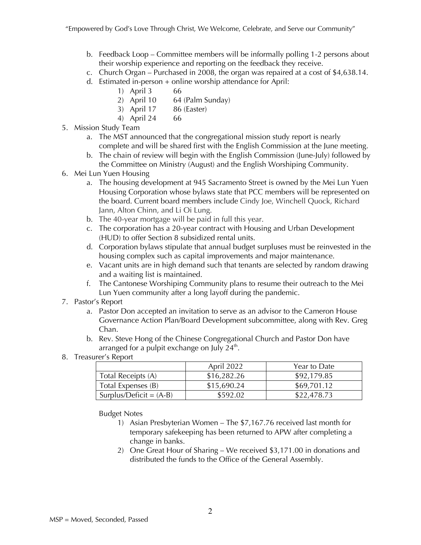"Empowered by God's Love Through Christ, We Welcome, Celebrate, and Serve our Community"

- b. Feedback Loop Committee members will be informally polling 1-2 persons about their worship experience and reporting on the feedback they receive.
- c. Church Organ Purchased in 2008, the organ was repaired at a cost of \$4,638.14.
- d. Estimated in-person + online worship attendance for April:
	- 1) April 3 66
	- 2) April 10 64 (Palm Sunday)
	- 3) April 17 86 (Easter)
	- 4) April 24 66
- 5. Mission Study Team
	- a. The MST announced that the congregational mission study report is nearly complete and will be shared first with the English Commission at the June meeting.
	- b. The chain of review will begin with the English Commission (June-July) followed by the Committee on Ministry (August) and the English Worshiping Community.
- 6. Mei Lun Yuen Housing
	- a. The housing development at 945 Sacramento Street is owned by the Mei Lun Yuen Housing Corporation whose bylaws state that PCC members will be represented on the board. Current board members include Cindy Joe, Winchell Quock, Richard Jann, Alton Chinn, and Li Oi Lung.
	- b. The 40-year mortgage will be paid in full this year.
	- c. The corporation has a 20-year contract with Housing and Urban Development (HUD) to offer Section 8 subsidized rental units.
	- d. Corporation bylaws stipulate that annual budget surpluses must be reinvested in the housing complex such as capital improvements and major maintenance.
	- e. Vacant units are in high demand such that tenants are selected by random drawing and a waiting list is maintained.
	- f. The Cantonese Worshiping Community plans to resume their outreach to the Mei Lun Yuen community after a long layoff during the pandemic.
- 7. Pastor's Report
	- a. Pastor Don accepted an invitation to serve as an advisor to the Cameron House Governance Action Plan/Board Development subcommittee, along with Rev. Greg Chan.
	- b. Rev. Steve Hong of the Chinese Congregational Church and Pastor Don have arranged for a pulpit exchange on July  $24<sup>th</sup>$ .
- 8. Treasurer's Report

|                           | April 2022  | Year to Date |
|---------------------------|-------------|--------------|
| Total Receipts (A)        | \$16,282.26 | \$92,179.85  |
| Total Expenses (B)        | \$15,690.24 | \$69,701.12  |
| Surplus/Deficit = $(A-B)$ | \$592.02    | \$22,478.73  |

Budget Notes

- 1) Asian Presbyterian Women The \$7,167.76 received last month for temporary safekeeping has been returned to APW after completing a change in banks.
- 2) One Great Hour of Sharing We received \$3,171.00 in donations and distributed the funds to the Office of the General Assembly.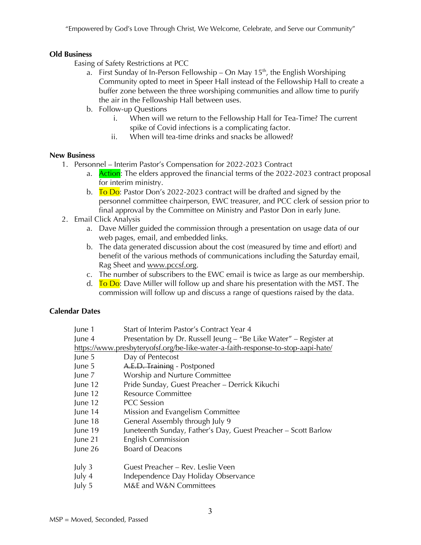"Empowered by God's Love Through Christ, We Welcome, Celebrate, and Serve our Community"

#### **Old Business**

Easing of Safety Restrictions at PCC

- a. First Sunday of In-Person Fellowship On May  $15<sup>th</sup>$ , the English Worshiping Community opted to meet in Speer Hall instead of the Fellowship Hall to create a buffer zone between the three worshiping communities and allow time to purify the air in the Fellowship Hall between uses.
- b. Follow-up Questions
	- i. When will we return to the Fellowship Hall for Tea-Time? The current spike of Covid infections is a complicating factor.
	- ii. When will tea-time drinks and snacks be allowed?

#### **New Business**

- 1. Personnel Interim Pastor's Compensation for 2022-2023 Contract
	- a. **Action:** The elders approved the financial terms of the 2022-2023 contract proposal for interim ministry.
	- b. To Do: Pastor Don's 2022-2023 contract will be drafted and signed by the personnel committee chairperson, EWC treasurer, and PCC clerk of session prior to final approval by the Committee on Ministry and Pastor Don in early June.
- 2. Email Click Analysis
	- a. Dave Miller guided the commission through a presentation on usage data of our web pages, email, and embedded links.
	- b. The data generated discussion about the cost (measured by time and effort) and benefit of the various methods of communications including the Saturday email, Rag Sheet and www.pccsf.org.
	- c. The number of subscribers to the EWC email is twice as large as our membership.
	- d.  $\overline{I}$  T<sub>0</sub> D<sub>0</sub>: Dave Miller will follow up and share his presentation with the MST. The commission will follow up and discuss a range of questions raised by the data.

## **Calendar Dates**

| June 1                                                                           | Start of Interim Pastor's Contract Year 4                         |  |
|----------------------------------------------------------------------------------|-------------------------------------------------------------------|--|
| June 4                                                                           | Presentation by Dr. Russell Jeung – "Be Like Water" – Register at |  |
| https://www.presbyteryofsf.org/be-like-water-a-faith-response-to-stop-aapi-hate/ |                                                                   |  |
| June 5                                                                           | Day of Pentecost                                                  |  |
| June 5                                                                           | A.E.D. Training - Postponed                                       |  |
| June 7                                                                           | Worship and Nurture Committee                                     |  |
| June 12                                                                          | Pride Sunday, Guest Preacher - Derrick Kikuchi                    |  |
| June 12                                                                          | <b>Resource Committee</b>                                         |  |
| June 12                                                                          | <b>PCC</b> Session                                                |  |
| June 14                                                                          | Mission and Evangelism Committee                                  |  |
| June 18                                                                          | General Assembly through July 9                                   |  |
| June 19                                                                          | Juneteenth Sunday, Father's Day, Guest Preacher - Scott Barlow    |  |
| June 21                                                                          | <b>English Commission</b>                                         |  |
| June 26                                                                          | <b>Board of Deacons</b>                                           |  |
| July 3                                                                           | Guest Preacher – Rev. Leslie Veen                                 |  |
| July 4                                                                           | Independence Day Holiday Observance                               |  |
| July 5                                                                           | M&E and W&N Committees                                            |  |
|                                                                                  |                                                                   |  |